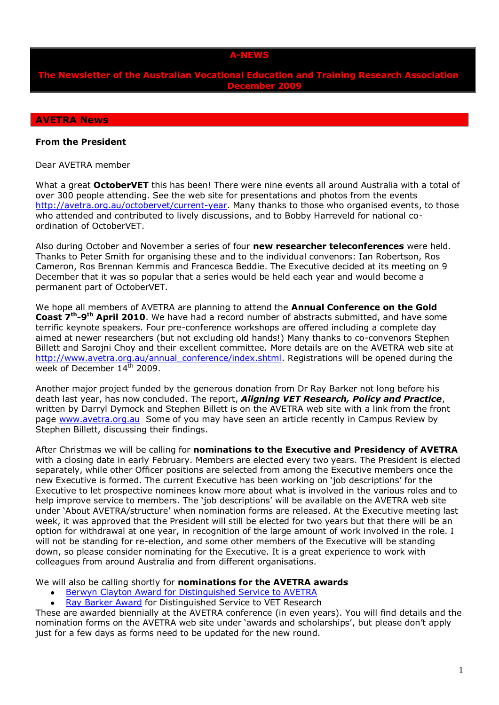#### **A-NEWS**

**The Newsletter of the Australian Vocational Education and Training Research Association December 2009**

#### **AVETRA News**

#### **From the President**

Dear AVETRA member

What a great **OctoberVET** this has been! There were nine events all around Australia with a total of over 300 people attending. See the web site for presentations and photos from the events [http://avetra.org.au/octobervet/current-year.](http://avetra.org.au/octobervet/current-year) Many thanks to those who organised events, to those who attended and contributed to lively discussions, and to Bobby Harreveld for national coordination of OctoberVET.

Also during October and November a series of four **new researcher teleconferences** were held. Thanks to Peter Smith for organising these and to the individual convenors: Ian Robertson, Ros Cameron, Ros Brennan Kemmis and Francesca Beddie. The Executive decided at its meeting on 9 December that it was so popular that a series would be held each year and would become a permanent part of OctoberVET.

We hope all members of AVETRA are planning to attend the **Annual Conference on the Gold**  Coast 7<sup>th</sup>-9<sup>th</sup> April 2010. We have had a record number of abstracts submitted, and have some terrific keynote speakers. Four pre-conference workshops are offered including a complete day aimed at newer researchers (but not excluding old hands!) Many thanks to co-convenors Stephen Billett and Sarojni Choy and their excellent committee. More details are on the AVETRA web site at [http://www.avetra.org.au/annual\\_conference/index.shtml.](http://www.avetra.org.au/annual_conference/index.shtml) Registrations will be opened during the week of December  $14<sup>th</sup>$  2009.

Another major project funded by the generous donation from Dr Ray Barker not long before his death last year, has now concluded. The report, *Aligning VET Research, Policy and Practice*, written by Darryl Dymock and Stephen Billett is on the AVETRA web site with a link from the front page [www.avetra.org.au](http://www.avetra.org.au/) Some of you may have seen an article recently in Campus Review by Stephen Billett, discussing their findings.

After Christmas we will be calling for **nominations to the Executive and Presidency of AVETRA** with a closing date in early February. Members are elected every two years. The President is elected separately, while other Officer positions are selected from among the Executive members once the new Executive is formed. The current Executive has been working on 'job descriptions' for the Executive to let prospective nominees know more about what is involved in the various roles and to help improve service to members. The 'job descriptions' will be available on the AVETRA web site under 'About AVETRA/structure' when nomination forms are released. At the Executive meeting last week, it was approved that the President will still be elected for two years but that there will be an option for withdrawal at one year, in recognition of the large amount of work involved in the role. I will not be standing for re-election, and some other members of the Executive will be standing down, so please consider nominating for the Executive. It is a great experience to work with colleagues from around Australia and from different organisations.

We will also be calling shortly for **nominations for the AVETRA awards**

- [Berwyn Clayton Award for Distinguished Service to AVETRA](http://avetra.org.au/awards-scholarships#Berwyn#Berwyn)
- [Ray Barker Award](http://avetra.org.au/awards-scholarships#Ray#Ray) for Distinguished Service to VET Research

These are awarded biennially at the AVETRA conference (in even years). You will find details and the nomination forms on the AVETRA web site under 'awards and scholarships', but please don't apply just for a few days as forms need to be updated for the new round.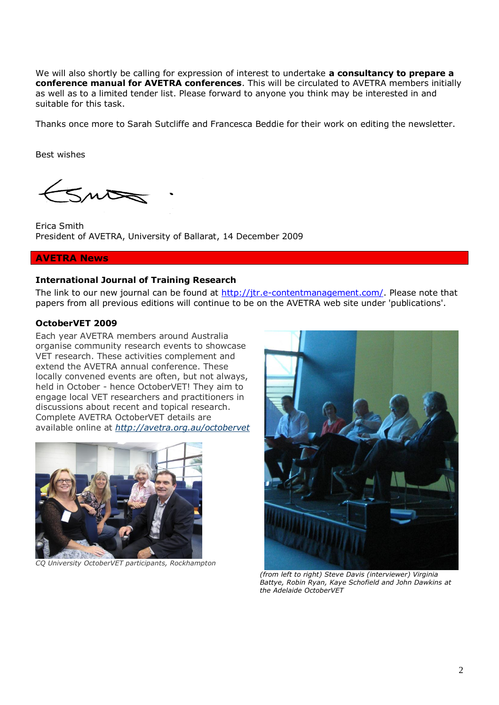We will also shortly be calling for expression of interest to undertake **a consultancy to prepare a conference manual for AVETRA conferences**. This will be circulated to AVETRA members initially as well as to a limited tender list. Please forward to anyone you think may be interested in and suitable for this task.

Thanks once more to Sarah Sutcliffe and Francesca Beddie for their work on editing the newsletter.

Best wishes

 $5m$ 

Erica Smith President of AVETRA, University of Ballarat, 14 December 2009

#### **AVETRA News**

### **International Journal of Training Research**

The link to our new journal can be found at [http://jtr.e-contentmanagement.com/.](http://jtr.e-contentmanagement.com/) Please note that papers from all previous editions will continue to be on the AVETRA web site under 'publications'.

## **OctoberVET 2009**

Each year AVETRA members around Australia organise community research events to showcase VET research. These activities complement and extend the AVETRA annual conference. These locally convened events are often, but not always, held in October - hence OctoberVET! They aim to engage local VET researchers and practitioners in discussions about recent and topical research. Complete AVETRA OctoberVET details are available online at *<http://avetra.org.au/octobervet>*



*CQ University OctoberVET participants, Rockhampton*



*(from left to right) Steve Davis (interviewer) Virginia Battye, Robin Ryan, Kaye Schofield and John Dawkins at the Adelaide OctoberVET*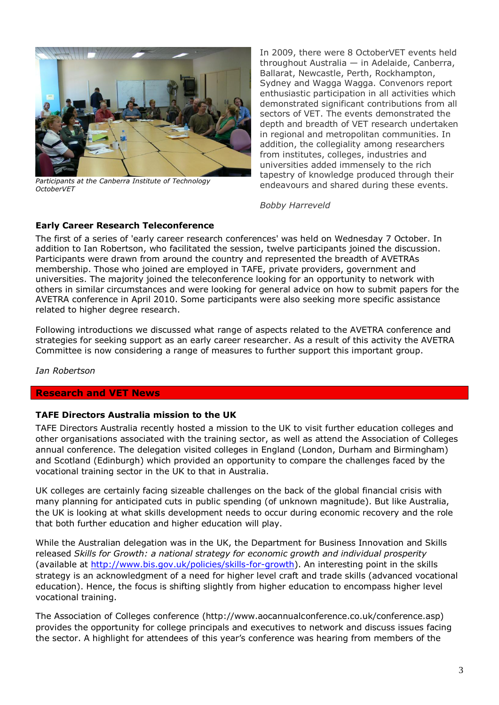

*Participants at the Canberra Institute of Technology OctoberVET*

In 2009, there were 8 OctoberVET events held throughout Australia — in Adelaide, Canberra, Ballarat, Newcastle, Perth, Rockhampton, Sydney and Wagga Wagga. Convenors report enthusiastic participation in all activities which demonstrated significant contributions from all sectors of VET. The events demonstrated the depth and breadth of VET research undertaken in regional and metropolitan communities. In addition, the collegiality among researchers from institutes, colleges, industries and universities added immensely to the rich tapestry of knowledge produced through their endeavours and shared during these events.

*Bobby Harreveld*

# **Early Career Research Teleconference**

The first of a series of 'early career research conferences' was held on Wednesday 7 October. In addition to Ian Robertson, who facilitated the session, twelve participants joined the discussion. Participants were drawn from around the country and represented the breadth of AVETRAs membership. Those who joined are employed in TAFE, private providers, government and universities. The majority joined the teleconference looking for an opportunity to network with others in similar circumstances and were looking for general advice on how to submit papers for the AVETRA conference in April 2010. Some participants were also seeking more specific assistance related to higher degree research.

Following introductions we discussed what range of aspects related to the AVETRA conference and strategies for seeking support as an early career researcher. As a result of this activity the AVETRA Committee is now considering a range of measures to further support this important group.

# *Ian Robertson*

# **Research and VET News**

# **TAFE Directors Australia mission to the UK**

TAFE Directors Australia recently hosted a mission to the UK to visit further education colleges and other organisations associated with the training sector, as well as attend the Association of Colleges annual conference. The delegation visited colleges in England (London, Durham and Birmingham) and Scotland (Edinburgh) which provided an opportunity to compare the challenges faced by the vocational training sector in the UK to that in Australia.

UK colleges are certainly facing sizeable challenges on the back of the global financial crisis with many planning for anticipated cuts in public spending (of unknown magnitude). But like Australia, the UK is looking at what skills development needs to occur during economic recovery and the role that both further education and higher education will play.

While the Australian delegation was in the UK, the Department for Business Innovation and Skills released *Skills for Growth: a national strategy for economic growth and individual prosperity* (available at [http://www.bis.gov.uk/policies/skills-for-growth\)](http://www.bis.gov.uk/policies/skills-for-growth). An interesting point in the skills strategy is an acknowledgment of a need for higher level craft and trade skills (advanced vocational education). Hence, the focus is shifting slightly from higher education to encompass higher level vocational training.

The Association of Colleges conference (http://www.aocannualconference.co.uk/conference.asp) provides the opportunity for college principals and executives to network and discuss issues facing the sector. A highlight for attendees of this year's conference was hearing from members of the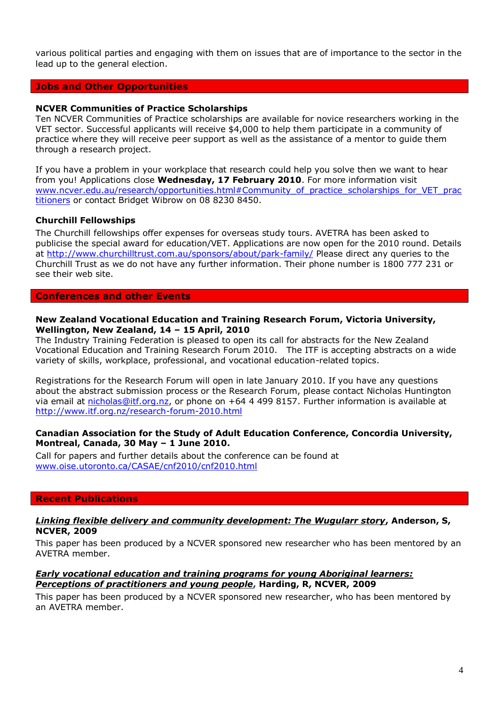various political parties and engaging with them on issues that are of importance to the sector in the lead up to the general election.

# **Jobs and Other Opportunities**

### **NCVER Communities of Practice Scholarships**

Ten NCVER Communities of Practice scholarships are available for novice researchers working in the VET sector. Successful applicants will receive \$4,000 to help them participate in a community of practice where they will receive peer support as well as the assistance of a mentor to guide them through a research project.

If you have a problem in your workplace that research could help you solve then we want to hear from you! Applications close **Wednesday, 17 February 2010**. For more information visit [www.ncver.edu.au/research/opportunities.html#Community\\_of\\_practice\\_scholarships\\_for\\_VET\\_prac](http://www.ncver.edu.au/research/opportunities.html#Community_of_practice_scholarships_for_VET_practitioners) [titioners](http://www.ncver.edu.au/research/opportunities.html#Community_of_practice_scholarships_for_VET_practitioners) or contact Bridget Wibrow on 08 8230 8450.

### **Churchill Fellowships**

The Churchill fellowships offer expenses for overseas study tours. AVETRA has been asked to publicise the special award for education/VET. Applications are now open for the 2010 round. Details at<http://www.churchilltrust.com.au/sponsors/about/park-family/> Please direct any queries to the Churchill Trust as we do not have any further information. Their phone number is 1800 777 231 or see their web site.

### **Conferences and other Events**

### **New Zealand Vocational Education and Training Research Forum, Victoria University, Wellington, New Zealand, 14 – 15 April, 2010**

The Industry Training Federation is pleased to open its call for abstracts for the New Zealand Vocational Education and Training Research Forum 2010. The ITF is accepting abstracts on a wide variety of skills, workplace, professional, and vocational education-related topics.

Registrations for the Research Forum will open in late January 2010. If you have any questions about the abstract submission process or the Research Forum, please contact Nicholas Huntington via email at [nicholas@itf.org.nz,](about:blanknicholas@itf.org.nz) or phone on +64 4 499 8157. Further information is available at <http://www.itf.org.nz/research-forum-2010.html>

#### **Canadian Association for the Study of Adult Education Conference, Concordia University, Montreal, Canada, 30 May – 1 June 2010.**

Call for papers and further details about the conference can be found at [www.oise.utoronto.ca/CASAE/cnf2010/cnf2010.html](http://www.oise.utoronto.ca/CASAE/cnf2010/cnf2010.html)

#### **Recent Publications**

### *[Linking flexible delivery and community development: The Wugularr story](http://www.ncver.edu.au/publications/2177.html)***, Anderson, S, NCVER, 2009**

This paper has been produced by a NCVER sponsored new researcher who has been mentored by an AVETRA member.

## *[Early vocational education and training programs for young Aboriginal learners:](http://www.ncver.edu.au/publications/2196.html)  [Perceptions of practitioners and young people](http://www.ncver.edu.au/publications/2196.html)***, Harding, R, NCVER, 2009**

This paper has been produced by a NCVER sponsored new researcher, who has been mentored by an AVETRA member.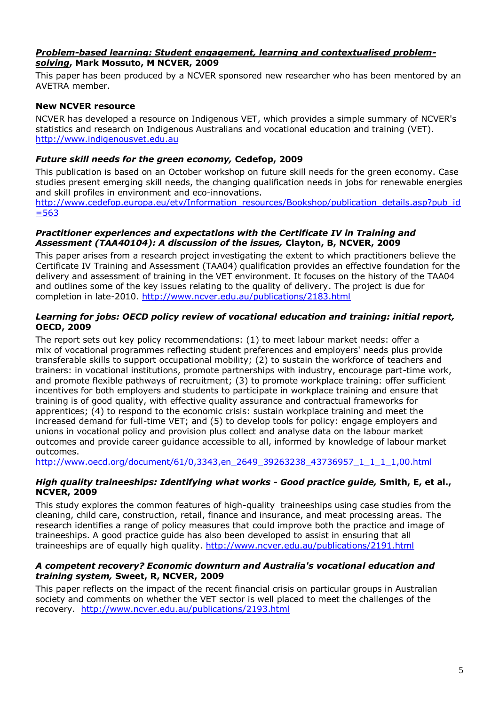# *[Problem-based learning: Student engagement, learning and contextualised problem](http://www.ncver.edu.au/publications/2198.html)[solving](http://www.ncver.edu.au/publications/2198.html)***, Mark Mossuto, M NCVER, 2009**

This paper has been produced by a NCVER sponsored new researcher who has been mentored by an AVETRA member.

# **New NCVER resource**

NCVER has developed a resource on Indigenous VET, which provides a simple summary of NCVER's statistics and research on Indigenous Australians and vocational education and training (VET). [http://www.indigenousvet.edu.au](http://www.indigenousvet.edu.au/)

# *Future skill needs for the green economy,* **Cedefop, 2009**

This publication is based on an October workshop on future skill needs for the green economy. Case studies present emerging skill needs, the changing qualification needs in jobs for renewable energies and skill profiles in environment and eco-innovations.

[http://www.cedefop.europa.eu/etv/Information\\_resources/Bookshop/publication\\_details.asp?pub\\_id](http://www.cedefop.europa.eu/etv/Information_resources/Bookshop/publication_details.asp?pub_id=563) [=563](http://www.cedefop.europa.eu/etv/Information_resources/Bookshop/publication_details.asp?pub_id=563)

## *Practitioner experiences and expectations with the Certificate IV in Training and Assessment (TAA40104): A discussion of the issues,* **Clayton, B, NCVER, 2009**

This paper arises from a research project investigating the extent to which practitioners believe the Certificate IV Training and Assessment (TAA04) qualification provides an effective foundation for the delivery and assessment of training in the VET environment. It focuses on the history of the TAA04 and outlines some of the key issues relating to the quality of delivery. The project is due for completion in late-2010. <http://www.ncver.edu.au/publications/2183.html>

# *Learning for jobs: OECD policy review of vocational education and training: initial report,*  **OECD, 2009**

The report sets out key policy recommendations: (1) to meet labour market needs: offer a mix of vocational programmes reflecting student preferences and employers' needs plus provide transferable skills to support occupational mobility; (2) to sustain the workforce of teachers and trainers: in vocational institutions, promote partnerships with industry, encourage part-time work, and promote flexible pathways of recruitment; (3) to promote workplace training: offer sufficient incentives for both employers and students to participate in workplace training and ensure that training is of good quality, with effective quality assurance and contractual frameworks for apprentices; (4) to respond to the economic crisis: sustain workplace training and meet the increased demand for full-time VET; and (5) to develop tools for policy: engage employers and unions in vocational policy and provision plus collect and analyse data on the labour market outcomes and provide career guidance accessible to all, informed by knowledge of labour market outcomes.

[http://www.oecd.org/document/61/0,3343,en\\_2649\\_39263238\\_43736957\\_1\\_1\\_1\\_1,00.html](http://www.oecd.org/document/61/0,3343,en_2649_39263238_43736957_1_1_1_1,00.html)

### *High quality traineeships: Identifying what works - Good practice guide,* **Smith, E, et al., NCVER, 2009**

This study explores the common features of high-quality traineeships using case studies from the cleaning, child care, construction, retail, finance and insurance, and meat processing areas. The research identifies a range of policy measures that could improve both the practice and image of traineeships. A good practice guide has also been developed to assist in ensuring that all traineeships are of equally high quality. <http://www.ncver.edu.au/publications/2191.html>

### *A competent recovery? Economic downturn and Australia's vocational education and training system,* **Sweet, R, NCVER, 2009**

This paper reflects on the impact of the recent financial crisis on particular groups in Australian society and comments on whether the VET sector is well placed to meet the challenges of the recovery. <http://www.ncver.edu.au/publications/2193.html>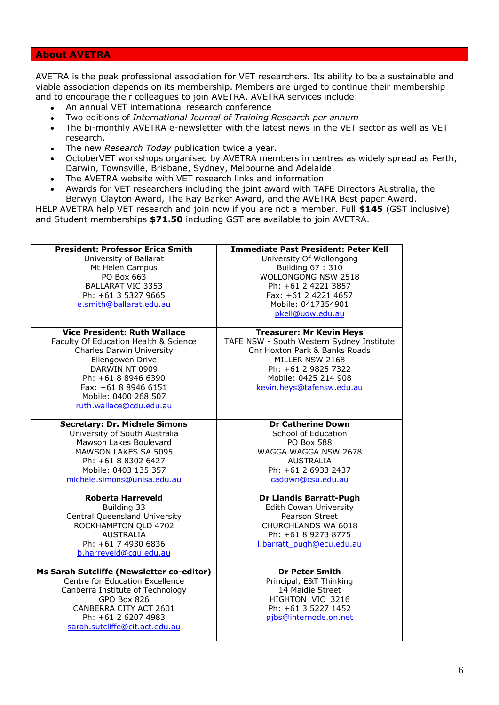## **About AVETRA**

AVETRA is the peak professional association for VET researchers. Its ability to be a sustainable and viable association depends on its membership. Members are urged to continue their membership and to encourage their colleagues to join AVETRA. AVETRA services include:

- An annual VET international research conference
- Two editions of *International Journal of Training Research per annum*  $\bullet$
- The bi-monthly AVETRA e-newsletter with the latest news in the VET sector as well as VET  $\bullet$ research.
- The new *Research Today* publication twice a year.
- OctoberVET workshops organised by AVETRA members in centres as widely spread as Perth, Darwin, Townsville, Brisbane, Sydney, Melbourne and Adelaide.
- The AVETRA website with VET research links and information
- Awards for VET researchers including the joint award with TAFE Directors Australia, the Berwyn Clayton Award, The Ray Barker Award, and the AVETRA Best paper Award.

HELP AVETRA help VET research and join now if you are not a member. Full **\$145** (GST inclusive) and Student memberships **\$71.50** including GST are available to join AVETRA.

| <b>President: Professor Erica Smith</b><br>University of Ballarat<br>Mt Helen Campus<br>PO Box 663<br><b>BALLARAT VIC 3353</b><br>Ph: +61 3 5327 9665<br>e.smith@ballarat.edu.au<br><b>Vice President: Ruth Wallace</b> | <b>Immediate Past President: Peter Kell</b><br>University Of Wollongong<br>Building 67: 310<br>WOLLONGONG NSW 2518<br>Ph: +61 2 4221 3857<br>Fax: +61 2 4221 4657<br>Mobile: 0417354901<br>pkell@uow.edu.au  |
|-------------------------------------------------------------------------------------------------------------------------------------------------------------------------------------------------------------------------|--------------------------------------------------------------------------------------------------------------------------------------------------------------------------------------------------------------|
| Faculty Of Education Health & Science<br>Charles Darwin University<br>Ellengowen Drive<br>DARWIN NT 0909<br>Ph: +61 8 8946 6390<br>Fax: +61 8 8946 6151<br>Mobile: 0400 268 507<br>ruth.wallace@cdu.edu.au              | <b>Treasurer: Mr Kevin Heys</b><br>TAFE NSW - South Western Sydney Institute<br>Cnr Hoxton Park & Banks Roads<br>MILLER NSW 2168<br>Ph: +61 2 9825 7322<br>Mobile: 0425 214 908<br>kevin.heys@tafensw.edu.au |
| <b>Secretary: Dr. Michele Simons</b><br>University of South Australia<br>Mawson Lakes Boulevard<br>MAWSON LAKES SA 5095<br>Ph: +61 8 8302 6427<br>Mobile: 0403 135 357<br>michele.simons@unisa.edu.au                   | <b>Dr Catherine Down</b><br>School of Education<br><b>PO Box 588</b><br>WAGGA WAGGA NSW 2678<br><b>AUSTRALIA</b><br>Ph: +61 2 6933 2437<br>cadown@csu.edu.au                                                 |
| <b>Roberta Harreveld</b><br>Building 33<br>Central Queensland University<br>ROCKHAMPTON QLD 4702<br><b>AUSTRALIA</b><br>Ph: +61 7 4930 6836<br>b.harreveld@cqu.edu.au                                                   | Dr Llandis Barratt-Pugh<br><b>Edith Cowan University</b><br>Pearson Street<br>CHURCHLANDS WA 6018<br>Ph: +61 8 9273 8775<br>l.barratt pugh@ecu.edu.au                                                        |
| Ms Sarah Sutcliffe (Newsletter co-editor)<br>Centre for Education Excellence<br>Canberra Institute of Technology<br>GPO Box 826<br>CANBERRA CITY ACT 2601<br>Ph: +61 2 6207 4983<br>sarah.sutcliffe@cit.act.edu.au      | <b>Dr Peter Smith</b><br>Principal, E&T Thinking<br>14 Maidie Street<br>HIGHTON VIC 3216<br>Ph: +61 3 5227 1452<br>pjbs@internode.on.net                                                                     |